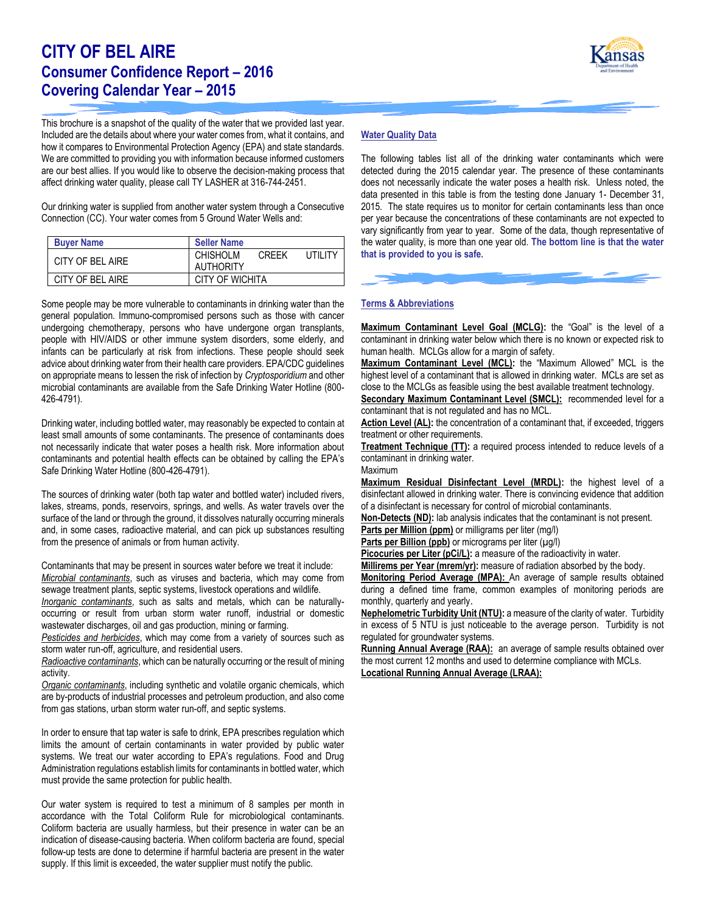# **CITY OF BEL AIRE Consumer Confidence Report – 2016 Covering Calendar Year – 2015**

This brochure is a snapshot of the quality of the water that we provided last year. Included are the details about where your water comes from, what it contains, and how it compares to Environmental Protection Agency (EPA) and state standards. We are committed to providing you with information because informed customers are our best allies. If you would like to observe the decision-making process that affect drinking water quality, please call TY LASHER at 316-744-2451.

Our drinking water is supplied from another water system through a Consecutive Connection (CC). Your water comes from 5 Ground Water Wells and:

| <b>Buyer Name</b> | <b>Seller Name</b>                                                     |  |  |  |  |  |
|-------------------|------------------------------------------------------------------------|--|--|--|--|--|
| CITY OF BEL AIRE  | <b>CHISHOLM</b><br><b>LITILITY</b><br><b>CRFFK</b><br><b>AUTHORITY</b> |  |  |  |  |  |
| CITY OF BEL AIRE  | CITY OF WICHITA                                                        |  |  |  |  |  |

Some people may be more vulnerable to contaminants in drinking water than the general population. Immuno-compromised persons such as those with cancer undergoing chemotherapy, persons who have undergone organ transplants, people with HIV/AIDS or other immune system disorders, some elderly, and infants can be particularly at risk from infections. These people should seek advice about drinking water from their health care providers. EPA/CDC guidelines on appropriate means to lessen the risk of infection by *Cryptosporidium* and other microbial contaminants are available from the Safe Drinking Water Hotline (800- 426-4791).

Drinking water, including bottled water, may reasonably be expected to contain at least small amounts of some contaminants. The presence of contaminants does not necessarily indicate that water poses a health risk. More information about contaminants and potential health effects can be obtained by calling the EPA's Safe Drinking Water Hotline (800-426-4791).

The sources of drinking water (both tap water and bottled water) included rivers, lakes, streams, ponds, reservoirs, springs, and wells. As water travels over the surface of the land or through the ground, it dissolves naturally occurring minerals and, in some cases, radioactive material, and can pick up substances resulting from the presence of animals or from human activity.

Contaminants that may be present in sources water before we treat it include: *Microbial contaminants*, such as viruses and bacteria, which may come from sewage treatment plants, septic systems, livestock operations and wildlife.

*Inorganic contaminants*, such as salts and metals, which can be naturallyoccurring or result from urban storm water runoff, industrial or domestic wastewater discharges, oil and gas production, mining or farming.

*Pesticides and herbicides*, which may come from a variety of sources such as storm water run-off, agriculture, and residential users.

*Radioactive contaminants*, which can be naturally occurring or the result of mining activity.

*Organic contaminants*, including synthetic and volatile organic chemicals, which are by-products of industrial processes and petroleum production, and also come from gas stations, urban storm water run-off, and septic systems.

In order to ensure that tap water is safe to drink, EPA prescribes regulation which limits the amount of certain contaminants in water provided by public water systems. We treat our water according to EPA's regulations. Food and Drug Administration regulations establish limits for contaminants in bottled water, which must provide the same protection for public health.

Our water system is required to test a minimum of 8 samples per month in accordance with the Total Coliform Rule for microbiological contaminants. Coliform bacteria are usually harmless, but their presence in water can be an indication of disease-causing bacteria. When coliform bacteria are found, special follow-up tests are done to determine if harmful bacteria are present in the water supply. If this limit is exceeded, the water supplier must notify the public.

# **Water Quality Data**

The following tables list all of the drinking water contaminants which were detected during the 2015 calendar year. The presence of these contaminants does not necessarily indicate the water poses a health risk. Unless noted, the data presented in this table is from the testing done January 1- December 31, 2015. The state requires us to monitor for certain contaminants less than once per year because the concentrations of these contaminants are not expected to vary significantly from year to year. Some of the data, though representative of the water quality, is more than one year old. **The bottom line is that the water that is provided to you is safe.**

### **Terms & Abbreviations**

**Maximum Contaminant Level Goal (MCLG):** the "Goal" is the level of a contaminant in drinking water below which there is no known or expected risk to human health. MCLGs allow for a margin of safety.

**Maximum Contaminant Level (MCL):** the "Maximum Allowed" MCL is the highest level of a contaminant that is allowed in drinking water. MCLs are set as close to the MCLGs as feasible using the best available treatment technology.

**Secondary Maximum Contaminant Level (SMCL):** recommended level for a contaminant that is not regulated and has no MCL.

**Action Level (AL):** the concentration of a contaminant that, if exceeded, triggers treatment or other requirements.

**Treatment Technique (TT):** a required process intended to reduce levels of a contaminant in drinking water. Maximum

**Maximum Residual Disinfectant Level (MRDL):** the highest level of a disinfectant allowed in drinking water. There is convincing evidence that addition of a disinfectant is necessary for control of microbial contaminants.

**Non-Detects (ND):** lab analysis indicates that the contaminant is not present.

**Parts per Million (ppm)** or milligrams per liter (mg/l)

Parts per Billion (ppb) or micrograms per liter (µg/l)

Picocuries per Liter (pCi/L): a measure of the radioactivity in water.

Millirems per Year (mrem/yr): measure of radiation absorbed by the body. **Monitoring Period Average (MPA):** An average of sample results obtained during a defined time frame, common examples of monitoring periods are monthly, quarterly and yearly.

**Nephelometric Turbidity Unit (NTU):** a measure of the clarity of water. Turbidity in excess of 5 NTU is just noticeable to the average person. Turbidity is not regulated for groundwater systems.

**Running Annual Average (RAA):** an average of sample results obtained over the most current 12 months and used to determine compliance with MCLs. **Locational Running Annual Average (LRAA):**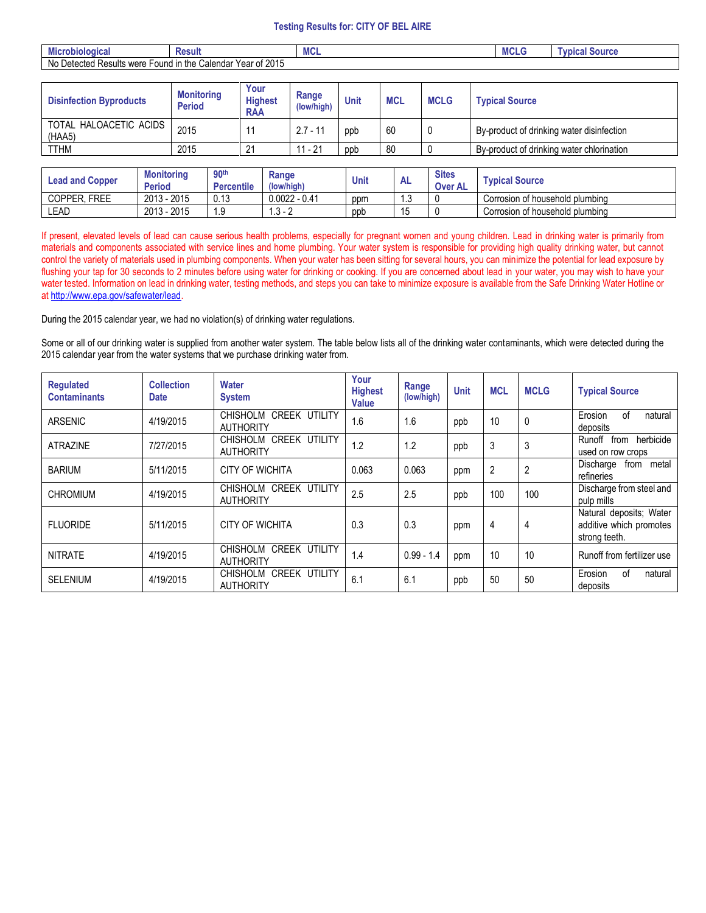## **Testing Results for: CITY OF BEL AIRE**

| <b>B</b> 20<br>robiologica.<br><b>MIC</b> | <b>Result</b>                                                      | ™∪⊾ | MCL | <b>Source</b> '<br>I vbica |
|-------------------------------------------|--------------------------------------------------------------------|-----|-----|----------------------------|
| No<br>Results were<br>Detected<br>⊢ound   | <sup>5</sup> 2015<br>r Year of<br>Calenda <sup>®</sup><br>∣ in the |     |     |                            |

| <b>Disinfection Byproducts</b>   | <b>Monitoring</b><br><b>Period</b> | Your<br><b>Highest</b><br><b>RAA</b> | Range<br>(low/high) | Unit | <b>MCL</b> | <b>MCLG</b> | <b>Typical Source</b>                     |
|----------------------------------|------------------------------------|--------------------------------------|---------------------|------|------------|-------------|-------------------------------------------|
| TOTAL HALOACETIC ACIDS<br>(HAA5) | 2015                               |                                      | $2.7 - 11$          | ppb  | 60         |             | By-product of drinking water disinfection |
| <b>TTHM</b>                      | 2015                               | 21                                   | $11 - 21$           | ppb  | 80         |             | By-product of drinking water chlorination |
|                                  |                                    |                                      |                     |      |            |             |                                           |

| Lead and Copper              | <b>Monitoring</b><br><b>Period</b> | 90 <sup>th</sup><br><b>Percentile</b> | Range<br>(low/high) | <b>Unit</b> | <b>AL</b> | <b>Sites</b><br>Over AL | <b>Typical Source</b>           |
|------------------------------|------------------------------------|---------------------------------------|---------------------|-------------|-----------|-------------------------|---------------------------------|
| <b>FREE</b><br><b>COPPER</b> | 2015<br>2013<br>ີ -                | 0.13                                  | $0.0022 - 0.41$     | ppm         | . . ب     |                         | Corrosion of household plumbing |
| LEAD                         | 2015<br>2013                       | $\sim$<br>.9                          | . പ<br>-<br>ں.      | ppb         |           |                         | Corrosion of household plumbing |

If present, elevated levels of lead can cause serious health problems, especially for pregnant women and young children. Lead in drinking water is primarily from materials and components associated with service lines and home plumbing. Your water system is responsible for providing high quality drinking water, but cannot control the variety of materials used in plumbing components. When your water has been sitting for several hours, you can minimize the potential for lead exposure by flushing your tap for 30 seconds to 2 minutes before using water for drinking or cooking. If you are concerned about lead in your water, you may wish to have your water tested. Information on lead in drinking water, testing methods, and steps you can take to minimize exposure is available from the Safe Drinking Water Hotline or a[t http://www.epa.gov/safewater/lead.](http://www.epa.gov/safewater/lead)

During the 2015 calendar year, we had no violation(s) of drinking water regulations.

Some or all of our drinking water is supplied from another water system. The table below lists all of the drinking water contaminants, which were detected during the 2015 calendar year from the water systems that we purchase drinking water from.

| <b>Regulated</b><br><b>Contaminants</b> | <b>Collection</b><br><b>Date</b> | <b>Water</b><br><b>System</b>                        | Your<br><b>Highest</b><br>Value | Range<br>(low/high) | <b>Unit</b> | <b>MCL</b> | <b>MCLG</b> | <b>Typical Source</b>                                               |  |
|-----------------------------------------|----------------------------------|------------------------------------------------------|---------------------------------|---------------------|-------------|------------|-------------|---------------------------------------------------------------------|--|
| <b>ARSENIC</b>                          | 4/19/2015                        | CHISHOLM CREEK UTILITY<br><b>AUTHORITY</b>           | 1.6                             | 1.6                 | ppb         | 10         | 0           | Erosion<br>natural<br>οf<br>deposits                                |  |
| <b>ATRAZINE</b>                         | 7/27/2015                        | CHISHOLM CREEK UTILITY<br><b>AUTHORITY</b>           | 1.2                             | 1.2                 | ppb         | 3          | 3           | herbicide<br>Runoff<br>from<br>used on row crops                    |  |
| <b>BARIUM</b>                           | 5/11/2015                        | CITY OF WICHITA                                      | 0.063                           | 0.063               | ppm         | 2          | 2           | metal<br>Discharge<br>from<br>refineries                            |  |
| <b>CHROMIUM</b>                         | 4/19/2015                        | CHISHOLM CREEK UTILITY<br><b>AUTHORITY</b>           | 2.5                             | 2.5                 | ppb         | 100        | 100         | Discharge from steel and<br>pulp mills                              |  |
| <b>FLUORIDE</b>                         | 5/11/2015                        | <b>CITY OF WICHITA</b>                               | 0.3                             | 0.3                 | ppm         | 4          | 4           | Natural deposits; Water<br>additive which promotes<br>strong teeth. |  |
| <b>NITRATE</b>                          | 4/19/2015                        | CREEK UTILITY<br><b>CHISHOLM</b><br><b>AUTHORITY</b> | 1.4                             | $0.99 - 1.4$        | ppm         | 10         | 10          | Runoff from fertilizer use                                          |  |
| <b>SELENIUM</b>                         | 4/19/2015                        | CHISHOLM CREEK UTILITY<br><b>AUTHORITY</b>           | 6.1                             | 6.1                 | ppb         | 50         | 50          | Erosion<br>οf<br>natural<br>deposits                                |  |